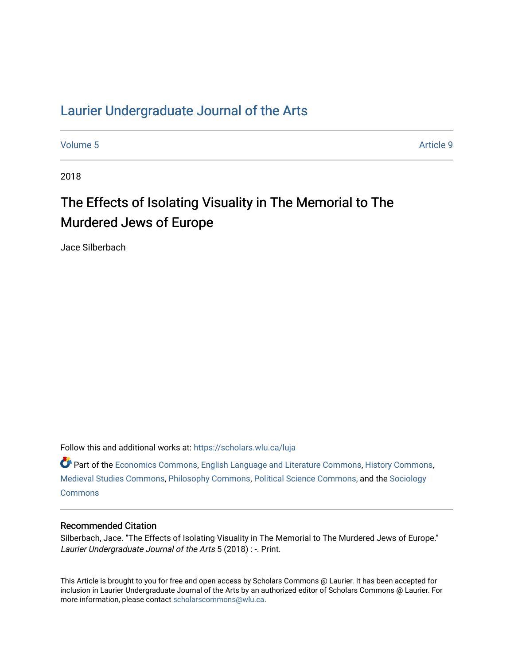# [Laurier Undergraduate Journal of the Arts](https://scholars.wlu.ca/luja)

[Volume 5](https://scholars.wlu.ca/luja/vol5) Article 9

2018

# The Effects of Isolating Visuality in The Memorial to The Murdered Jews of Europe

Jace Silberbach

Follow this and additional works at: [https://scholars.wlu.ca/luja](https://scholars.wlu.ca/luja?utm_source=scholars.wlu.ca%2Fluja%2Fvol5%2Fiss1%2F9&utm_medium=PDF&utm_campaign=PDFCoverPages) 

Part of the [Economics Commons](http://network.bepress.com/hgg/discipline/340?utm_source=scholars.wlu.ca%2Fluja%2Fvol5%2Fiss1%2F9&utm_medium=PDF&utm_campaign=PDFCoverPages), [English Language and Literature Commons,](http://network.bepress.com/hgg/discipline/455?utm_source=scholars.wlu.ca%2Fluja%2Fvol5%2Fiss1%2F9&utm_medium=PDF&utm_campaign=PDFCoverPages) [History Commons,](http://network.bepress.com/hgg/discipline/489?utm_source=scholars.wlu.ca%2Fluja%2Fvol5%2Fiss1%2F9&utm_medium=PDF&utm_campaign=PDFCoverPages) [Medieval Studies Commons](http://network.bepress.com/hgg/discipline/480?utm_source=scholars.wlu.ca%2Fluja%2Fvol5%2Fiss1%2F9&utm_medium=PDF&utm_campaign=PDFCoverPages), [Philosophy Commons](http://network.bepress.com/hgg/discipline/525?utm_source=scholars.wlu.ca%2Fluja%2Fvol5%2Fiss1%2F9&utm_medium=PDF&utm_campaign=PDFCoverPages), [Political Science Commons](http://network.bepress.com/hgg/discipline/386?utm_source=scholars.wlu.ca%2Fluja%2Fvol5%2Fiss1%2F9&utm_medium=PDF&utm_campaign=PDFCoverPages), and the [Sociology](http://network.bepress.com/hgg/discipline/416?utm_source=scholars.wlu.ca%2Fluja%2Fvol5%2Fiss1%2F9&utm_medium=PDF&utm_campaign=PDFCoverPages)  **[Commons](http://network.bepress.com/hgg/discipline/416?utm_source=scholars.wlu.ca%2Fluja%2Fvol5%2Fiss1%2F9&utm_medium=PDF&utm_campaign=PDFCoverPages)** 

#### Recommended Citation

Silberbach, Jace. "The Effects of Isolating Visuality in The Memorial to The Murdered Jews of Europe." Laurier Undergraduate Journal of the Arts 5 (2018) : -. Print.

This Article is brought to you for free and open access by Scholars Commons @ Laurier. It has been accepted for inclusion in Laurier Undergraduate Journal of the Arts by an authorized editor of Scholars Commons @ Laurier. For more information, please contact [scholarscommons@wlu.ca](mailto:scholarscommons@wlu.ca).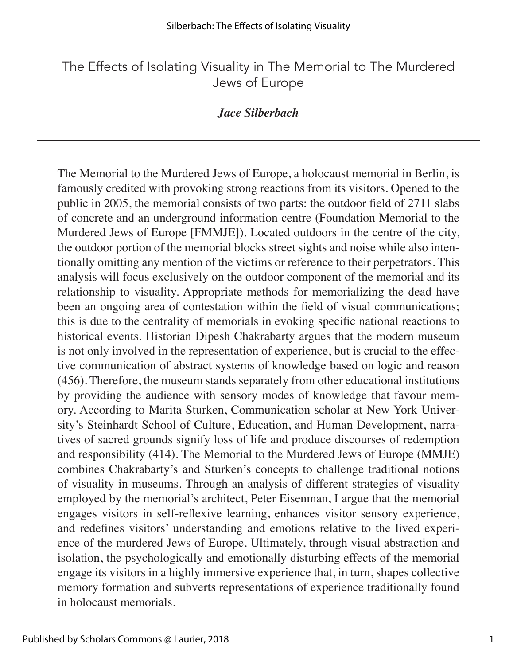# The Effects of Isolating Visuality in The Memorial to The Murdered Jews of Europe

### *Jace Silberbach*

The Memorial to the Murdered Jews of Europe, a holocaust memorial in Berlin, is famously credited with provoking strong reactions from its visitors. Opened to the public in 2005, the memorial consists of two parts: the outdoor field of 2711 slabs of concrete and an underground information centre (Foundation Memorial to the Murdered Jews of Europe [FMMJE]). Located outdoors in the centre of the city, the outdoor portion of the memorial blocks street sights and noise while also intentionally omitting any mention of the victims or reference to their perpetrators. This analysis will focus exclusively on the outdoor component of the memorial and its relationship to visuality. Appropriate methods for memorializing the dead have been an ongoing area of contestation within the field of visual communications; this is due to the centrality of memorials in evoking specific national reactions to historical events. Historian Dipesh Chakrabarty argues that the modern museum is not only involved in the representation of experience, but is crucial to the effective communication of abstract systems of knowledge based on logic and reason (456). Therefore, the museum stands separately from other educational institutions by providing the audience with sensory modes of knowledge that favour memory. According to Marita Sturken, Communication scholar at New York University's Steinhardt School of Culture, Education, and Human Development, narratives of sacred grounds signify loss of life and produce discourses of redemption and responsibility (414). The Memorial to the Murdered Jews of Europe (MMJE) combines Chakrabarty's and Sturken's concepts to challenge traditional notions of visuality in museums. Through an analysis of different strategies of visuality employed by the memorial's architect, Peter Eisenman, I argue that the memorial engages visitors in self-reflexive learning, enhances visitor sensory experience, and redefines visitors' understanding and emotions relative to the lived experience of the murdered Jews of Europe. Ultimately, through visual abstraction and isolation, the psychologically and emotionally disturbing effects of the memorial engage its visitors in a highly immersive experience that, in turn, shapes collective memory formation and subverts representations of experience traditionally found in holocaust memorials.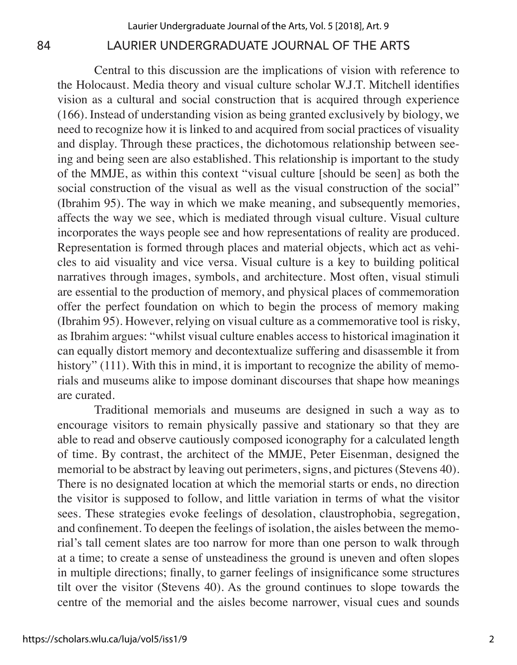Central to this discussion are the implications of vision with reference to the Holocaust. Media theory and visual culture scholar W.J.T. Mitchell identifies vision as a cultural and social construction that is acquired through experience (166). Instead of understanding vision as being granted exclusively by biology, we need to recognize how it is linked to and acquired from social practices of visuality and display. Through these practices, the dichotomous relationship between seeing and being seen are also established. This relationship is important to the study of the MMJE, as within this context "visual culture [should be seen] as both the social construction of the visual as well as the visual construction of the social" (Ibrahim 95). The way in which we make meaning, and subsequently memories, affects the way we see, which is mediated through visual culture. Visual culture incorporates the ways people see and how representations of reality are produced. Representation is formed through places and material objects, which act as vehicles to aid visuality and vice versa. Visual culture is a key to building political narratives through images, symbols, and architecture. Most often, visual stimuli are essential to the production of memory, and physical places of commemoration offer the perfect foundation on which to begin the process of memory making (Ibrahim 95). However, relying on visual culture as a commemorative tool is risky, as Ibrahim argues: "whilst visual culture enables access to historical imagination it can equally distort memory and decontextualize suffering and disassemble it from history" (111). With this in mind, it is important to recognize the ability of memorials and museums alike to impose dominant discourses that shape how meanings are curated.

Traditional memorials and museums are designed in such a way as to encourage visitors to remain physically passive and stationary so that they are able to read and observe cautiously composed iconography for a calculated length of time. By contrast, the architect of the MMJE, Peter Eisenman, designed the memorial to be abstract by leaving out perimeters, signs, and pictures (Stevens 40). There is no designated location at which the memorial starts or ends, no direction the visitor is supposed to follow, and little variation in terms of what the visitor sees. These strategies evoke feelings of desolation, claustrophobia, segregation, and confinement. To deepen the feelings of isolation, the aisles between the memorial's tall cement slates are too narrow for more than one person to walk through at a time; to create a sense of unsteadiness the ground is uneven and often slopes in multiple directions; finally, to garner feelings of insignificance some structures tilt over the visitor (Stevens 40). As the ground continues to slope towards the centre of the memorial and the aisles become narrower, visual cues and sounds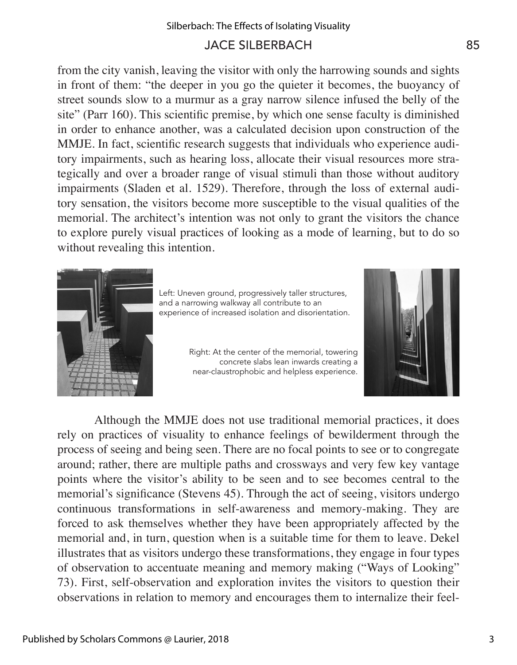from the city vanish, leaving the visitor with only the harrowing sounds and sights in front of them: "the deeper in you go the quieter it becomes, the buoyancy of street sounds slow to a murmur as a gray narrow silence infused the belly of the site" (Parr 160). This scientific premise, by which one sense faculty is diminished in order to enhance another, was a calculated decision upon construction of the MMJE. In fact, scientific research suggests that individuals who experience auditory impairments, such as hearing loss, allocate their visual resources more strategically and over a broader range of visual stimuli than those without auditory impairments (Sladen et al. 1529). Therefore, through the loss of external auditory sensation, the visitors become more susceptible to the visual qualities of the memorial. The architect's intention was not only to grant the visitors the chance to explore purely visual practices of looking as a mode of learning, but to do so without revealing this intention.



Left: Uneven ground, progressively taller structures, and a narrowing walkway all contribute to an experience of increased isolation and disorientation.

Right: At the center of the memorial, towering concrete slabs lean inwards creating a near-claustrophobic and helpless experience.



Although the MMJE does not use traditional memorial practices, it does rely on practices of visuality to enhance feelings of bewilderment through the process of seeing and being seen. There are no focal points to see or to congregate around; rather, there are multiple paths and crossways and very few key vantage points where the visitor's ability to be seen and to see becomes central to the memorial's significance (Stevens 45). Through the act of seeing, visitors undergo continuous transformations in self-awareness and memory-making. They are forced to ask themselves whether they have been appropriately affected by the memorial and, in turn, question when is a suitable time for them to leave. Dekel illustrates that as visitors undergo these transformations, they engage in four types of observation to accentuate meaning and memory making ("Ways of Looking" 73). First, self-observation and exploration invites the visitors to question their observations in relation to memory and encourages them to internalize their feel-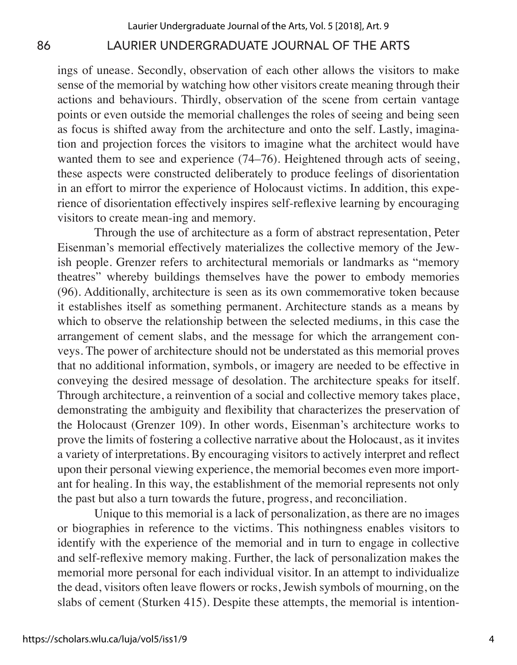ings of unease. Secondly, observation of each other allows the visitors to make sense of the memorial by watching how other visitors create meaning through their actions and behaviours. Thirdly, observation of the scene from certain vantage points or even outside the memorial challenges the roles of seeing and being seen as focus is shifted away from the architecture and onto the self. Lastly, imagination and projection forces the visitors to imagine what the architect would have wanted them to see and experience (74–76). Heightened through acts of seeing, these aspects were constructed deliberately to produce feelings of disorientation in an effort to mirror the experience of Holocaust victims. In addition, this experience of disorientation effectively inspires self-reflexive learning by encouraging visitors to create mean-ing and memory.

Through the use of architecture as a form of abstract representation, Peter Eisenman's memorial effectively materializes the collective memory of the Jewish people. Grenzer refers to architectural memorials or landmarks as "memory theatres" whereby buildings themselves have the power to embody memories (96). Additionally, architecture is seen as its own commemorative token because it establishes itself as something permanent. Architecture stands as a means by which to observe the relationship between the selected mediums, in this case the arrangement of cement slabs, and the message for which the arrangement conveys. The power of architecture should not be understated as this memorial proves that no additional information, symbols, or imagery are needed to be effective in conveying the desired message of desolation. The architecture speaks for itself. Through architecture, a reinvention of a social and collective memory takes place, demonstrating the ambiguity and flexibility that characterizes the preservation of the Holocaust (Grenzer 109). In other words, Eisenman's architecture works to prove the limits of fostering a collective narrative about the Holocaust, as it invites a variety of interpretations. By encouraging visitors to actively interpret and reflect upon their personal viewing experience, the memorial becomes even more important for healing. In this way, the establishment of the memorial represents not only the past but also a turn towards the future, progress, and reconciliation.

Unique to this memorial is a lack of personalization, as there are no images or biographies in reference to the victims. This nothingness enables visitors to identify with the experience of the memorial and in turn to engage in collective and self-reflexive memory making. Further, the lack of personalization makes the memorial more personal for each individual visitor. In an attempt to individualize the dead, visitors often leave flowers or rocks, Jewish symbols of mourning, on the slabs of cement (Sturken 415). Despite these attempts, the memorial is intention-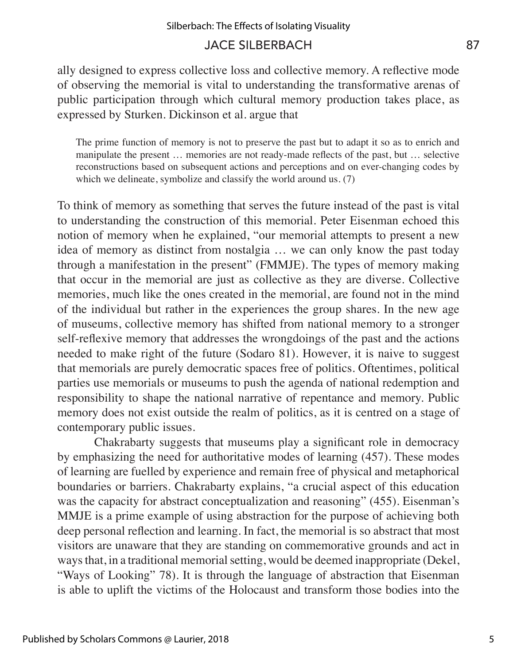ally designed to express collective loss and collective memory. A reflective mode of observing the memorial is vital to understanding the transformative arenas of public participation through which cultural memory production takes place, as expressed by Sturken. Dickinson et al. argue that

The prime function of memory is not to preserve the past but to adapt it so as to enrich and manipulate the present … memories are not ready-made reflects of the past, but … selective reconstructions based on subsequent actions and perceptions and on ever-changing codes by which we delineate, symbolize and classify the world around us. (7)

To think of memory as something that serves the future instead of the past is vital to understanding the construction of this memorial. Peter Eisenman echoed this notion of memory when he explained, "our memorial attempts to present a new idea of memory as distinct from nostalgia … we can only know the past today through a manifestation in the present" (FMMJE). The types of memory making that occur in the memorial are just as collective as they are diverse. Collective memories, much like the ones created in the memorial, are found not in the mind of the individual but rather in the experiences the group shares. In the new age of museums, collective memory has shifted from national memory to a stronger self-reflexive memory that addresses the wrongdoings of the past and the actions needed to make right of the future (Sodaro 81). However, it is naive to suggest that memorials are purely democratic spaces free of politics. Oftentimes, political parties use memorials or museums to push the agenda of national redemption and responsibility to shape the national narrative of repentance and memory. Public memory does not exist outside the realm of politics, as it is centred on a stage of contemporary public issues.

Chakrabarty suggests that museums play a significant role in democracy by emphasizing the need for authoritative modes of learning (457). These modes of learning are fuelled by experience and remain free of physical and metaphorical boundaries or barriers. Chakrabarty explains, "a crucial aspect of this education was the capacity for abstract conceptualization and reasoning" (455). Eisenman's MMJE is a prime example of using abstraction for the purpose of achieving both deep personal reflection and learning. In fact, the memorial is so abstract that most visitors are unaware that they are standing on commemorative grounds and act in ways that, in a traditional memorial setting, would be deemed inappropriate (Dekel, "Ways of Looking" 78). It is through the language of abstraction that Eisenman is able to uplift the victims of the Holocaust and transform those bodies into the

5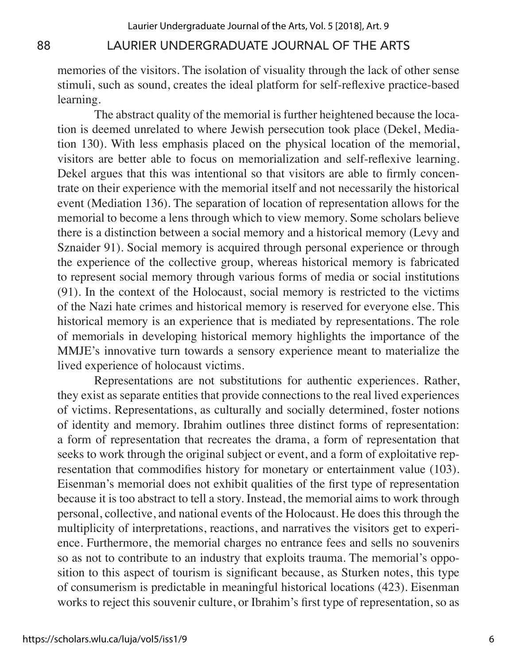memories of the visitors. The isolation of visuality through the lack of other sense stimuli, such as sound, creates the ideal platform for self-reflexive practice-based learning.

The abstract quality of the memorial is further heightened because the location is deemed unrelated to where Jewish persecution took place (Dekel, Mediation 130). With less emphasis placed on the physical location of the memorial, visitors are better able to focus on memorialization and self-reflexive learning. Dekel argues that this was intentional so that visitors are able to firmly concentrate on their experience with the memorial itself and not necessarily the historical event (Mediation 136). The separation of location of representation allows for the memorial to become a lens through which to view memory. Some scholars believe there is a distinction between a social memory and a historical memory (Levy and Sznaider 91). Social memory is acquired through personal experience or through the experience of the collective group, whereas historical memory is fabricated to represent social memory through various forms of media or social institutions (91). In the context of the Holocaust, social memory is restricted to the victims of the Nazi hate crimes and historical memory is reserved for everyone else. This historical memory is an experience that is mediated by representations. The role of memorials in developing historical memory highlights the importance of the MMJE's innovative turn towards a sensory experience meant to materialize the lived experience of holocaust victims.

Representations are not substitutions for authentic experiences. Rather, they exist as separate entities that provide connections to the real lived experiences of victims. Representations, as culturally and socially determined, foster notions of identity and memory. Ibrahim outlines three distinct forms of representation: a form of representation that recreates the drama, a form of representation that seeks to work through the original subject or event, and a form of exploitative representation that commodifies history for monetary or entertainment value (103). Eisenman's memorial does not exhibit qualities of the first type of representation because it is too abstract to tell a story. Instead, the memorial aims to work through personal, collective, and national events of the Holocaust. He does this through the multiplicity of interpretations, reactions, and narratives the visitors get to experience. Furthermore, the memorial charges no entrance fees and sells no souvenirs so as not to contribute to an industry that exploits trauma. The memorial's opposition to this aspect of tourism is significant because, as Sturken notes, this type of consumerism is predictable in meaningful historical locations (423). Eisenman works to reject this souvenir culture, or Ibrahim's first type of representation, so as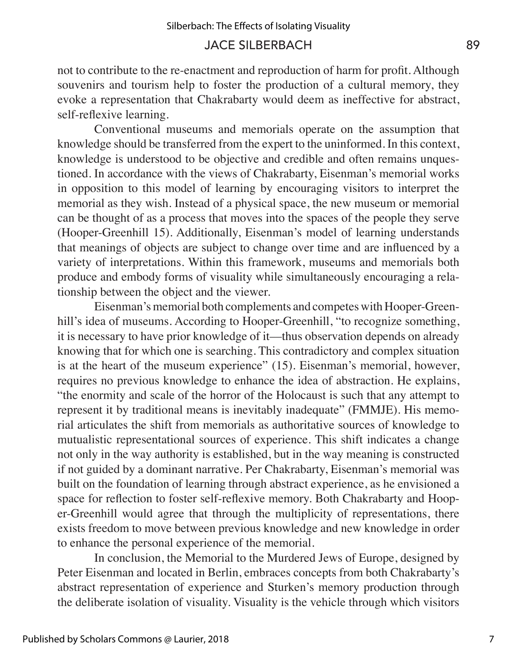not to contribute to the re-enactment and reproduction of harm for profit. Although souvenirs and tourism help to foster the production of a cultural memory, they evoke a representation that Chakrabarty would deem as ineffective for abstract, self-reflexive learning.

Conventional museums and memorials operate on the assumption that knowledge should be transferred from the expert to the uninformed. In this context, knowledge is understood to be objective and credible and often remains unquestioned. In accordance with the views of Chakrabarty, Eisenman's memorial works in opposition to this model of learning by encouraging visitors to interpret the memorial as they wish. Instead of a physical space, the new museum or memorial can be thought of as a process that moves into the spaces of the people they serve (Hooper-Greenhill 15). Additionally, Eisenman's model of learning understands that meanings of objects are subject to change over time and are influenced by a variety of interpretations. Within this framework, museums and memorials both produce and embody forms of visuality while simultaneously encouraging a relationship between the object and the viewer.

Eisenman's memorial both complements and competes with Hooper-Greenhill's idea of museums. According to Hooper-Greenhill, "to recognize something, it is necessary to have prior knowledge of it––thus observation depends on already knowing that for which one is searching. This contradictory and complex situation is at the heart of the museum experience" (15). Eisenman's memorial, however, requires no previous knowledge to enhance the idea of abstraction. He explains, "the enormity and scale of the horror of the Holocaust is such that any attempt to represent it by traditional means is inevitably inadequate" (FMMJE). His memorial articulates the shift from memorials as authoritative sources of knowledge to mutualistic representational sources of experience. This shift indicates a change not only in the way authority is established, but in the way meaning is constructed if not guided by a dominant narrative. Per Chakrabarty, Eisenman's memorial was built on the foundation of learning through abstract experience, as he envisioned a space for reflection to foster self-reflexive memory. Both Chakrabarty and Hooper-Greenhill would agree that through the multiplicity of representations, there exists freedom to move between previous knowledge and new knowledge in order to enhance the personal experience of the memorial.

In conclusion, the Memorial to the Murdered Jews of Europe, designed by Peter Eisenman and located in Berlin, embraces concepts from both Chakrabarty's abstract representation of experience and Sturken's memory production through the deliberate isolation of visuality. Visuality is the vehicle through which visitors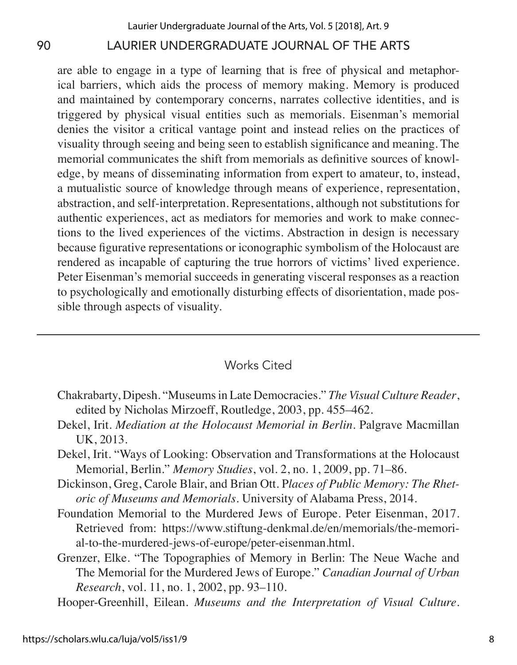are able to engage in a type of learning that is free of physical and metaphorical barriers, which aids the process of memory making. Memory is produced and maintained by contemporary concerns, narrates collective identities, and is triggered by physical visual entities such as memorials. Eisenman's memorial denies the visitor a critical vantage point and instead relies on the practices of visuality through seeing and being seen to establish significance and meaning. The memorial communicates the shift from memorials as definitive sources of knowledge, by means of disseminating information from expert to amateur, to, instead, a mutualistic source of knowledge through means of experience, representation, abstraction, and self-interpretation. Representations, although not substitutions for authentic experiences, act as mediators for memories and work to make connections to the lived experiences of the victims. Abstraction in design is necessary because figurative representations or iconographic symbolism of the Holocaust are rendered as incapable of capturing the true horrors of victims' lived experience. Peter Eisenman's memorial succeeds in generating visceral responses as a reaction to psychologically and emotionally disturbing effects of disorientation, made possible through aspects of visuality.

### Works Cited

- Chakrabarty, Dipesh. "Museums in Late Democracies." *The Visual Culture Reader*, edited by Nicholas Mirzoeff, Routledge, 2003, pp. 455–462.
- Dekel, Irit. *Mediation at the Holocaust Memorial in Berlin*. Palgrave Macmillan UK, 2013.
- Dekel, Irit. "Ways of Looking: Observation and Transformations at the Holocaust Memorial, Berlin." *Memory Studies*, vol. 2, no. 1, 2009, pp. 71–86.
- Dickinson, Greg, Carole Blair, and Brian Ott. P*laces of Public Memory: The Rhetoric of Museums and Memorials*. University of Alabama Press, 2014.
- Foundation Memorial to the Murdered Jews of Europe. Peter Eisenman, 2017. Retrieved from: https://www.stiftung-denkmal.de/en/memorials/the-memorial-to-the-murdered-jews-of-europe/peter-eisenman.html.
- Grenzer, Elke. "The Topographies of Memory in Berlin: The Neue Wache and The Memorial for the Murdered Jews of Europe." *Canadian Journal of Urban Research*, vol. 11, no. 1, 2002, pp. 93–110.
- Hooper-Greenhill, Eilean. *Museums and the Interpretation of Visual Culture.*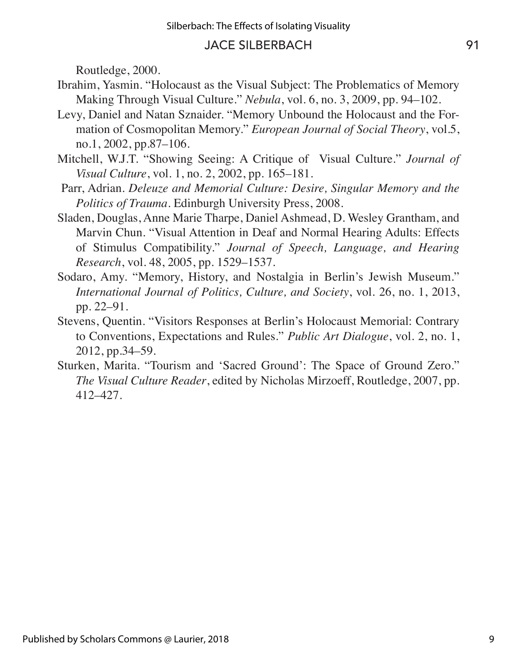Routledge, 2000.

- Ibrahim, Yasmin. "Holocaust as the Visual Subject: The Problematics of Memory Making Through Visual Culture." *Nebula*, vol. 6, no. 3, 2009, pp. 94–102.
- Levy, Daniel and Natan Sznaider. "Memory Unbound the Holocaust and the Formation of Cosmopolitan Memory." *European Journal of Social Theory*, vol.5, no.1, 2002, pp.87–106.
- Mitchell, W.J.T. "Showing Seeing: A Critique of Visual Culture." *Journal of Visual Culture*, vol. 1, no. 2, 2002, pp. 165–181.
- Parr, Adrian. *Deleuze and Memorial Culture: Desire, Singular Memory and the Politics of Trauma*. Edinburgh University Press, 2008.
- Sladen, Douglas, Anne Marie Tharpe, Daniel Ashmead, D. Wesley Grantham, and Marvin Chun. "Visual Attention in Deaf and Normal Hearing Adults: Effects of Stimulus Compatibility." *Journal of Speech, Language, and Hearing Research*, vol. 48, 2005, pp. 1529–1537.
- Sodaro, Amy. "Memory, History, and Nostalgia in Berlin's Jewish Museum." *International Journal of Politics, Culture, and Society*, vol. 26, no. 1, 2013, pp. 22–91.
- Stevens, Quentin. "Visitors Responses at Berlin's Holocaust Memorial: Contrary to Conventions, Expectations and Rules." *Public Art Dialogue*, vol. 2, no. 1, 2012, pp.34–59.
- Sturken, Marita. "Tourism and 'Sacred Ground': The Space of Ground Zero." *The Visual Culture Reader*, edited by Nicholas Mirzoeff, Routledge, 2007, pp. 412–427.